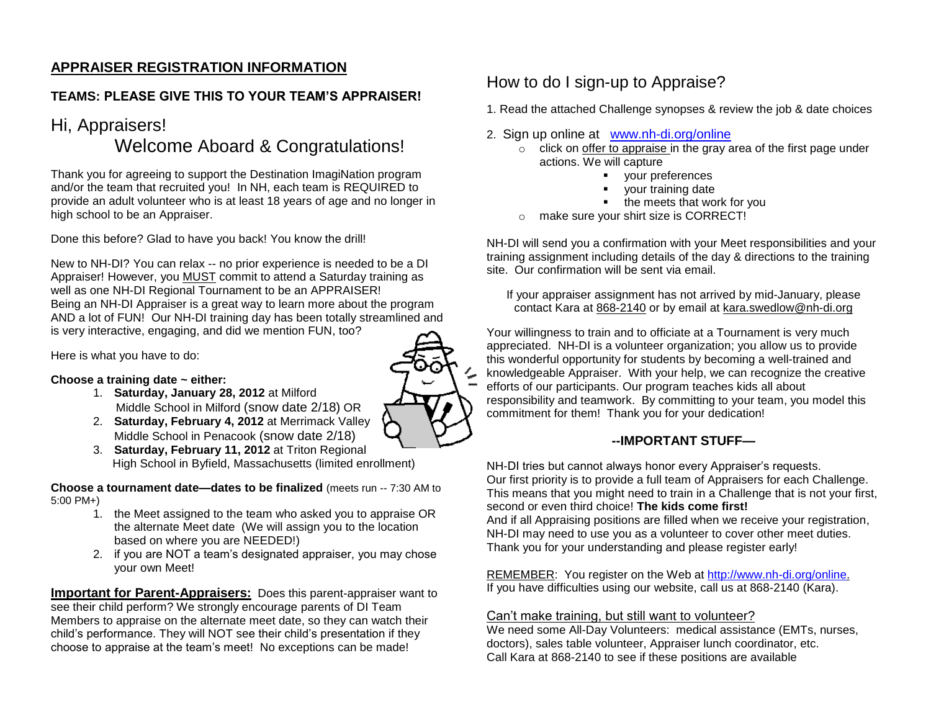## **APPRAISER REGISTRATION INFORMATION**

## **TEAMS: PLEASE GIVE THIS TO YOUR TEAM'S APPRAISER!**

## Hi, Appraisers!

## Welcome Aboard & Congratulations!

Thank you for agreeing to support the Destination ImagiNation program and/or the team that recruited you! In NH, each team is REQUIRED to provide an adult volunteer who is at least 18 years of age and no longer in high school to be an Appraiser.

Done this before? Glad to have you back! You know the drill!

New to NH-DI? You can relax -- no prior experience is needed to be a DI Appraiser! However, you MUST commit to attend a Saturday training as well as one NH-DI Regional Tournament to be an APPRAISER! Being an NH-DI Appraiser is a great way to learn more about the program AND a lot of FUN! Our NH-DI training day has been totally streamlined and is very interactive, engaging, and did we mention FUN, too?

Here is what you have to do:

#### **Choose a training date ~ either:**

- 1. **Saturday, January 28, 2012** at Milford Middle School in Milford (snow date 2/18) OR
- 2. **Saturday, February 4, 2012** at Merrimack Valley Middle School in Penacook (snow date 2/18)
- 3. **Saturday, February 11, 2012** at Triton Regional High School in Byfield, Massachusetts (limited enrollment)

**Choose a tournament date—dates to be finalized** (meets run -- 7:30 AM to 5:00 PM+)

- 1. the Meet assigned to the team who asked you to appraise OR the alternate Meet date (We will assign you to the location based on where you are NEEDED!)
- 2. if you are NOT a team's designated appraiser, you may chose your own Meet!

**Important for Parent-Appraisers:** Does this parent-appraiser want to see their child perform? We strongly encourage parents of DI Team Members to appraise on the alternate meet date, so they can watch their child's performance. They will NOT see their child's presentation if they choose to appraise at the team's meet! No exceptions can be made!

## How to do I sign-up to Appraise?

- 1. Read the attached Challenge synopses & review the job & date choices
- 2. Sign up online at [www.nh-di.org/online](http://www.nh-di.org/online)
	- $\circ$  click on offer to appraise in the gray area of the first page under actions. We will capture
		- your preferences
			- your training date
		- the meets that work for you
	- o make sure your shirt size is CORRECT!

NH-DI will send you a confirmation with your Meet responsibilities and your training assignment including details of the day & directions to the training site. Our confirmation will be sent via email.

If your appraiser assignment has not arrived by mid-January, please contact Kara at 868-2140 or by email at kara.swedlow@nh-di.org

Your willingness to train and to officiate at a Tournament is very much appreciated. NH-DI is a volunteer organization; you allow us to provide this wonderful opportunity for students by becoming a well-trained and knowledgeable Appraiser. With your help, we can recognize the creative efforts of our participants. Our program teaches kids all about responsibility and teamwork. By committing to your team, you model this commitment for them! Thank you for your dedication!

### **--IMPORTANT STUFF—**

NH-DI tries but cannot always honor every Appraiser's requests. Our first priority is to provide a full team of Appraisers for each Challenge. This means that you might need to train in a Challenge that is not your first, second or even third choice! **The kids come first!**  And if all Appraising positions are filled when we receive your registration, NH-DI may need to use you as a volunteer to cover other meet duties. Thank you for your understanding and please register early!

REMEMBER: You register on the Web at [http://www.nh-di.org/online.](http://www.nh-di.org/online) If you have difficulties using our website, call us at 868-2140 (Kara).

#### Can't make training, but still want to volunteer?

We need some All-Day Volunteers: medical assistance (EMTs, nurses, doctors), sales table volunteer, Appraiser lunch coordinator, etc. Call Kara at 868-2140 to see if these positions are available